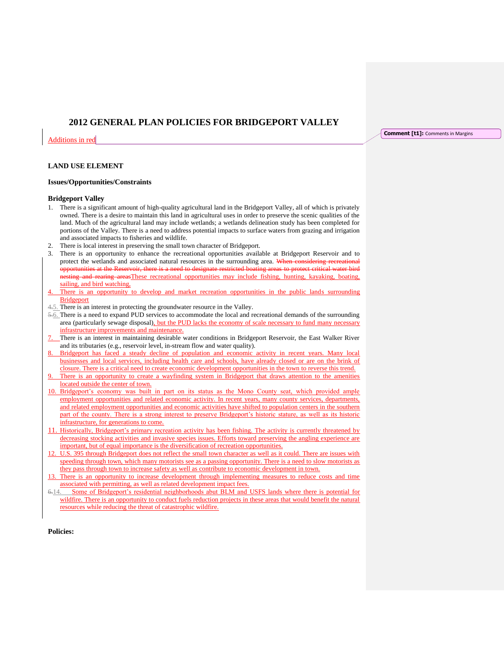# **2012 GENERAL PLAN POLICIES FOR BRIDGEPORT VALLEY**

Additions in red

## **LAND USE ELEMENT**

#### **Issues/Opportunities/Constraints**

#### **Bridgeport Valley**

- 1. There is a significant amount of high-quality agricultural land in the Bridgeport Valley, all of which is privately owned. There is a desire to maintain this land in agricultural uses in order to preserve the scenic qualities of the land. Much of the agricultural land may include wetlands; a wetlands delineation study has been completed for portions of the Valley. There is a need to address potential impacts to surface waters from grazing and irrigation and associated impacts to fisheries and wildlife.
- 2. There is local interest in preserving the small town character of Bridgeport.
- 3. There is an opportunity to enhance the recreational opportunities available at Bridgeport Reservoir and to protect the wetlands and associated natural resources in the surrounding area. When considering recreational nities at the Reservoir, there is a need to designate restricted boating areas to protect critical water bird nesting and rearing areasThese recreational opportunities may include fishing, hunting, kayaking, boating, sailing, and bird watching,
- There is an opportunity to develop and market recreation opportunities in the public lands surrounding Bridgeport
- 4.5. There is an interest in protecting the groundwater resource in the Valley.
- 5.6. There is a need to expand PUD services to accommodate the local and recreational demands of the surrounding area (particularly sewage disposal), but the PUD lacks the economy of scale necessary to fund many necessary infrastructure improvements and maintenance.
- There is an interest in maintaining desirable water conditions in Bridgeport Reservoir, the East Walker River and its tributaries (e.g., reservoir level, in-stream flow and water quality).
- 8. Bridgeport has faced a steady decline of population and economic activity in recent years. Many local businesses and local services, including health care and schools, have already closed or are on the brink of closure. There is a critical need to create economic development opportunities in the town to reverse this trend.
- There is an opportunity to create a wayfinding system in Bridgeport that draws attention to the amenities located outside the center of town.
- 10. Bridgeport's economy was built in part on its status as the Mono County seat, which provided ample employment opportunities and related economic activity. In recent years, many county services, departments, and related employment opportunities and economic activities have shifted to population centers in the southern part of the county. There is a strong interest to preserve Bridgeport's historic stature, as well as its historic infrastructure, for generations to come.
- 11. Historically, Bridgeport's primary recreation activity has been fishing. The activity is currently threatened by decreasing stocking activities and invasive species issues. Efforts toward preserving the angling experience are important, but of equal importance is the diversification of recreation opportunities.
- U.S. 395 through Bridgeport does not reflect the small town character as well as it could. There are issues with speeding through town, which many motorists see as a passing opportunity. There is a need to slow motorists as they pass through town to increase safety as well as contribute to economic development in town.
- 13. There is an opportunity to increase development through implementing measures to reduce costs and time associated with permitting, as well as related development impact fees.
- 6.14. Some of Bridgeport's residential neighborhoods abut BLM and USFS lands where there is potential for wildfire. There is an opportunity to conduct fuels reduction projects in these areas that would benefit the natural resources while reducing the threat of catastrophic wildfire.

**Policies:**

**Comment [t1]:** Comments in Margins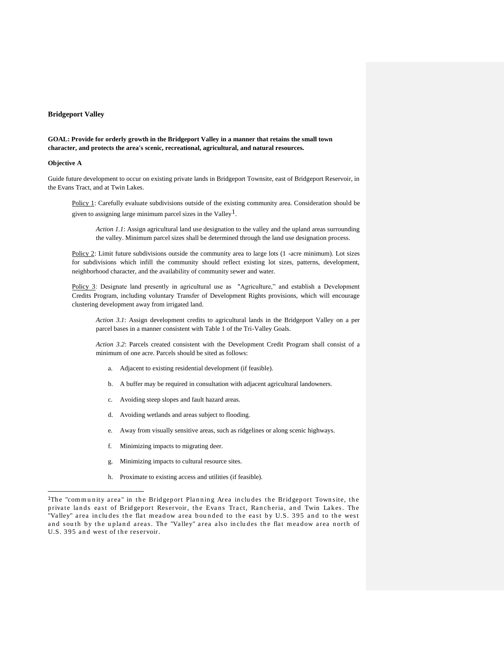#### **Bridgeport Valley**

## **GOAL: Provide for orderly growth in the Bridgeport Valley in a manner that retains the small town character, and protects the area's scenic, recreational, agricultural, and natural resources.**

## **Objective A**

j

Guide future development to occur on existing private lands in Bridgeport Townsite, east of Bridgeport Reservoir, in the Evans Tract, and at Twin Lakes.

Policy 1: Carefully evaluate subdivisions outside of the existing community area. Consideration should be given to assigning large minimum parcel sizes in the Valley<sup>1</sup>.

*Action 1.1*: Assign agricultural land use designation to the valley and the upland areas surrounding the valley. Minimum parcel sizes shall be determined through the land use designation process.

Policy 2: Limit future subdivisions outside the community area to large lots (1 -acre minimum). Lot sizes for subdivisions which infill the community should reflect existing lot sizes, patterns, development, neighborhood character, and the availability of community sewer and water.

Policy 3: Designate land presently in agricultural use as "Agriculture," and establish a Development Credits Program, including voluntary Transfer of Development Rights provisions, which will encourage clustering development away from irrigated land.

*Action 3.1*: Assign development credits to agricultural lands in the Bridgeport Valley on a per parcel bases in a manner consistent with Table 1 of the Tri-Valley Goals.

*Action 3.2*: Parcels created consistent with the Development Credit Program shall consist of a minimum of one acre. Parcels should be sited as follows:

- a. Adjacent to existing residential development (if feasible).
- b. A buffer may be required in consultation with adjacent agricultural landowners.
- c. Avoiding steep slopes and fault hazard areas.
- d. Avoiding wetlands and areas subject to flooding.
- e. Away from visually sensitive areas, such as ridgelines or along scenic highways.
- f. Minimizing impacts to migrating deer.
- g. Minimizing impacts to cultural resource sites.
- h. Proximate to existing access and utilities (if feasible).

<sup>&</sup>lt;sup>1</sup>The "community area" in the Bridgeport Planning Area includes the Bridgeport Townsite, the private lands east of Bridgeport Reservoir, the Evans Tract, Rancheria, and Twin Lakes. The "Valley" area includes the flat meadow area bounded to the east by U.S. 395 and to the west and south by the upland areas. The "Valley" area also includes the flat meadow area north of U.S. 395 and west of the reservoir.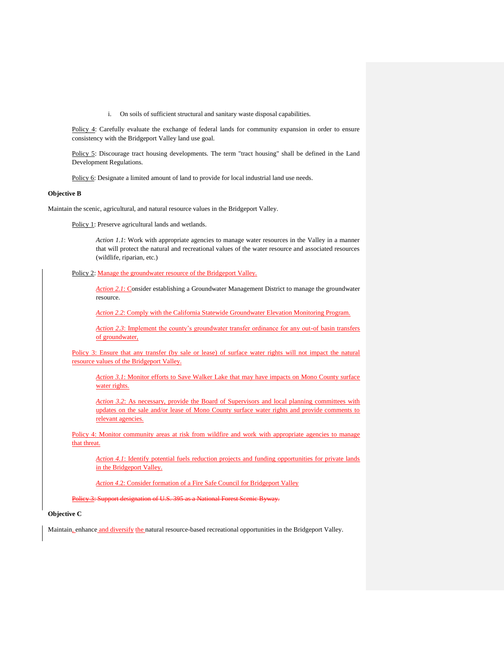i. On soils of sufficient structural and sanitary waste disposal capabilities.

Policy 4: Carefully evaluate the exchange of federal lands for community expansion in order to ensure consistency with the Bridgeport Valley land use goal.

Policy 5: Discourage tract housing developments. The term "tract housing" shall be defined in the Land Development Regulations.

Policy 6: Designate a limited amount of land to provide for local industrial land use needs.

#### **Objective B**

Maintain the scenic, agricultural, and natural resource values in the Bridgeport Valley.

Policy 1: Preserve agricultural lands and wetlands.

Action 1.1: Work with appropriate agencies to manage water resources in the Valley in a manner that will protect the natural and recreational values of the water resource and associated resources (wildlife, riparian, etc.)

Policy 2: Manage the groundwater resource of the Bridgeport Valley.

*Action 2.1*: Consider establishing a Groundwater Management District to manage the groundwater resource.

*Action 2.2*: Comply with the California Statewide Groundwater Elevation Monitoring Program.

*Action 2.3*: Implement the county's groundwater transfer ordinance for any out-of basin transfers of groundwater,

Policy 3: Ensure that any transfer (by sale or lease) of surface water rights will not impact the natural resource values of the Bridgeport Valley.

*Action 3.1*: Monitor efforts to Save Walker Lake that may have impacts on Mono County surface water rights.

*Action 3.2*: As necessary, provide the Board of Supervisors and local planning committees with updates on the sale and/or lease of Mono County surface water rights and provide comments to relevant agencies.

Policy 4: Monitor community areas at risk from wildfire and work with appropriate agencies to manage that threat.

*Action 4.1*: Identify potential fuels reduction projects and funding opportunities for private lands in the Bridgeport Valley.

*Action 4*.2: Consider formation of a Fire Safe Council for Bridgeport Valley

Policy 3: Support designation of U.S. 395 as a National Forest Scenic Byway.

## **Objective C**

Maintain, enhance and diversify the natural resource-based recreational opportunities in the Bridgeport Valley.